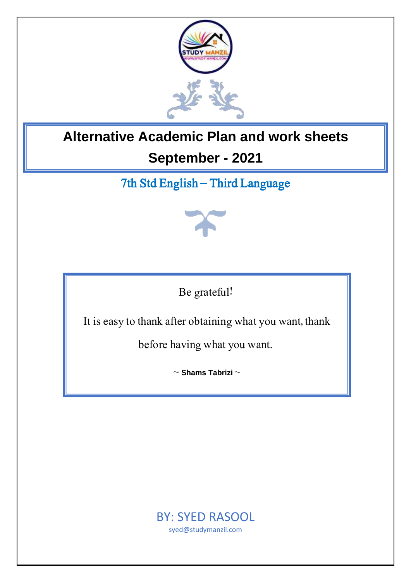

# **Alternative Academic Plan and work sheets September - 2021**

# 7th Std English – Third Language



Be grateful!

It is easy to thank after obtaining what you want, thank

before having what you want.

~ **Shams Tabrizi** ~

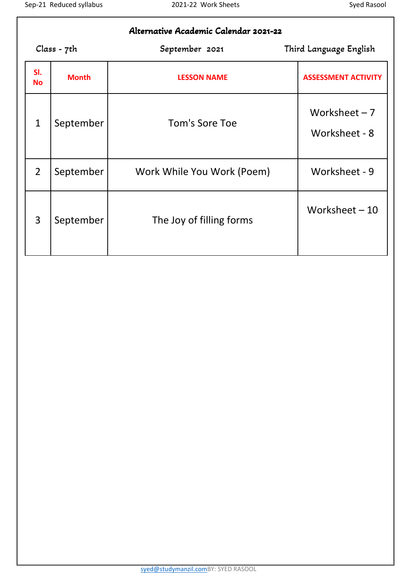| Alternative Academic Calendar 2021-22 |              |                            |                                 |  |  |  |  |
|---------------------------------------|--------------|----------------------------|---------------------------------|--|--|--|--|
|                                       | Class - 7th  | September 2021             | Third Language English          |  |  |  |  |
| SI.<br><b>No</b>                      | <b>Month</b> | <b>LESSON NAME</b>         | <b>ASSESSMENT ACTIVITY</b>      |  |  |  |  |
| $\mathbf{1}$                          | September    | Tom's Sore Toe             | Worksheet $-7$<br>Worksheet - 8 |  |  |  |  |
| $\overline{2}$                        | September    | Work While You Work (Poem) | Worksheet - 9                   |  |  |  |  |
| 3                                     | September    | The Joy of filling forms   | Worksheet-10                    |  |  |  |  |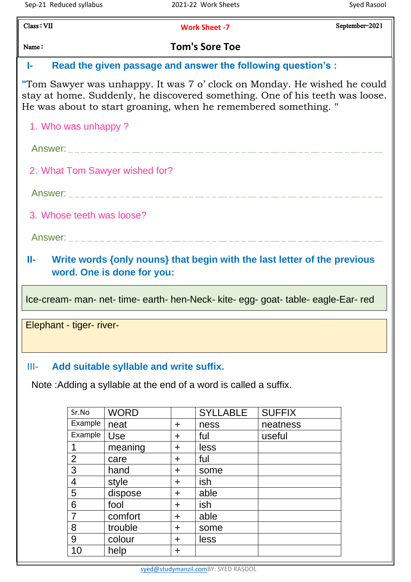September-2021

Class : VII

**Work Sheet -7**

# Name : **Tom's Sore Toe**

## **I- Read the given passage and answer the following question's :**

**"**Tom Sawyer was unhappy. It was 7 o' clock on Monday. He wished he could stay at home. Suddenly, he discovered something. One of his teeth was loose. He was about to start groaning, when he remembered something. **"**

1. Who was unhappy ?

Answer: **\_ \_ \_ \_ \_ \_ \_ \_ \_ \_ \_\_ \_ \_ \_\_ \_ \_\_ \_ \_ \_\_ \_ \_ \_\_ \_ \_ \_ \_\_ \_ \_ \_\_ \_ \_\_ \_ \_ \_\_ \_ \_ \_\_ \_ \_\_ \_ \_ \_\_** 

2. What Tom Sawyer wished for?

Answer: **\_ \_ \_ \_ \_ \_ \_ \_ \_ \_ \_\_ \_ \_ \_\_ \_ \_\_ \_ \_ \_\_ \_ \_ \_\_ \_ \_ \_ \_\_ \_ \_ \_\_ \_ \_\_ \_ \_ \_\_ \_ \_ \_\_ \_ \_\_ \_ \_ \_\_** 

3. Whose teeth was loose?

Answer: **\_ \_ \_ \_ \_ \_ \_ \_ \_ \_ \_\_ \_ \_ \_\_ \_ \_\_ \_ \_ \_\_ \_ \_ \_\_ \_ \_ \_ \_\_ \_ \_ \_\_ \_ \_\_ \_ \_ \_\_ \_ \_ \_\_ \_ \_\_ \_ \_ \_\_** 

**II- Write words {only nouns} that begin with the last letter of the previous word. One is done for you:**

Ice-cream- man- net- time- earth- hen-Neck- kite- egg- goat- table- eagle-Ear- red

Elephant - tiger- river-

#### III- **Add suitable syllable and write suffix.**

Note :Adding a syllable at the end of a word is called a suffix.

| Sr.No          | <b>WORD</b> |             | <b>SYLLABLE</b> | <b>SUFFIX</b> |
|----------------|-------------|-------------|-----------------|---------------|
| Example        | neat        | $\pm$       | ness            | neatness      |
| Example        | Use         | $\div$      | ful             | useful        |
|                | meaning     | $\div$      | less            |               |
| $\overline{2}$ | care        | $\div$      | ful             |               |
| 3              | hand        | $\mathbf +$ | some            |               |
| 4              | style       | $\div$      | ish             |               |
| 5              | dispose     | $\pm$       | able            |               |
| 6              | fool        | $\div$      | ish             |               |
| $\overline{7}$ | comfort     | $\pm$       | able            |               |
| 8              | trouble     | $\div$      | some            |               |
| 9              | colour      | $\div$      | less            |               |
| 10             | help        | ┿           |                 |               |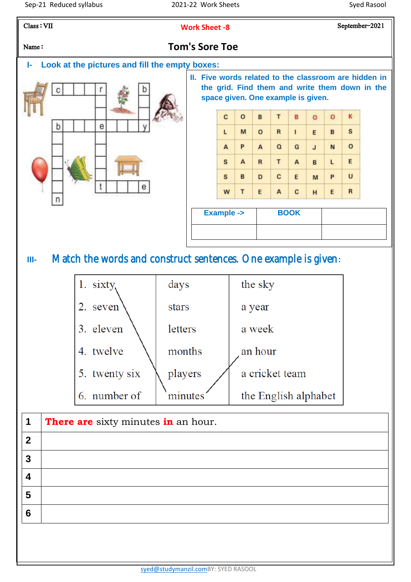September-2021

Class : VII

**Work Sheet -8**



### Name: **Tom's Sore Toe**

**I- Look at the pictures and fill the empty boxes:**



**II. Five words related to the classroom are hidden in the grid. Find them and write them down in the space given. One example is given.**

| с | $\Omega$ | B            | T              | B            | $\circ$      | o | к |
|---|----------|--------------|----------------|--------------|--------------|---|---|
| L | M        | $\Omega$     | R              | $\mathbf{I}$ | E            | B | S |
| A | P        | $\mathbf{A}$ | $\alpha$       | G            | $\mathbf{J}$ | N | o |
| S | A        | $\mathbf R$  | T              | A            | B            | L | E |
| s | B        | D            | $\overline{c}$ | Ε            | M            | P | U |
| W | τ        | E            | A              | c            | H            | E | R |

| <b>Example -&gt;</b> | <b>BOOK</b> |  |
|----------------------|-------------|--|
|                      |             |  |

**III-** Match the words and construct sentences. One example is given**:**

| 1. sixty,     | days    | the sky              |
|---------------|---------|----------------------|
| 2. seven      | stars   | a year               |
| 3. eleven     | letters | a week               |
| 4. twelve     | months  | an hour              |
| 5. twenty six | players | a cricket team       |
| 6. number of  |         | the English alphabet |

| 1               | There are sixty minutes in an hour. |
|-----------------|-------------------------------------|
| $\mathbf 2$     |                                     |
| $\mathbf{3}$    |                                     |
| 4               |                                     |
| 5               |                                     |
| $6\phantom{1}6$ |                                     |
|                 |                                     |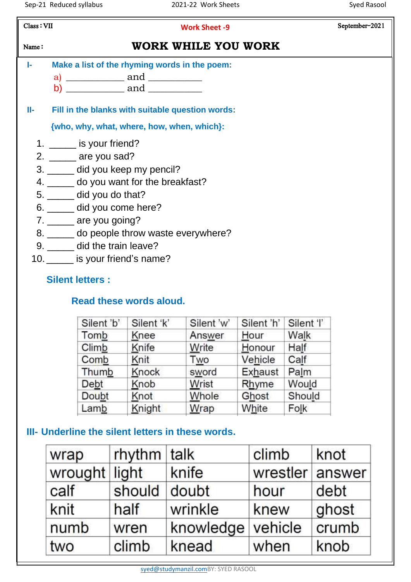| Class: VII   | <b>Work Sheet -9</b>                             | September-2021 |
|--------------|--------------------------------------------------|----------------|
| Name:        | WORK WHILE YOU WORK                              |                |
| $\mathbb{R}$ | Make a list of the rhyming words in the poem:    |                |
|              | a) ______________ and ___________                |                |
|              | b) ____________ and ____________                 |                |
| H-           | Fill in the blanks with suitable question words: |                |
|              | {who, why, what, where, how, when, which}:       |                |
|              | 1. $\frac{1}{\sqrt{2}}$ is your friend?          |                |
|              | 2. $\_\_\_\_\$ are you sad?                      |                |
|              | 3. _____ did you keep my pencil?                 |                |
|              | 4. _____ do you want for the breakfast?          |                |
|              | 5. _______ did you do that?                      |                |
|              | 6. ______ did you come here?                     |                |
|              | 7. ______ are you going?                         |                |
|              | 8. _____ do people throw waste everywhere?       |                |
|              | 9. _____ did the train leave?                    |                |
|              | 10. set is your friend's name?                   |                |
|              | <b>Silent letters:</b>                           |                |

# **Read these words aloud.**

| Silent 'b' | Silent 'k' | Silent 'w' | Silent 'h' | Silent 'l' |
|------------|------------|------------|------------|------------|
| Tomb       | Knee       | Answer     | Hour       | Walk       |
| Climb      | Knife      | Write      | Honour     | Half       |
| Comb       | Knit       | Two        | Vehicle    | Calf       |
| Thumb      | Knock      | sword      | Exhaust    | Palm       |
| Debt       | Knob       | Wrist      | Rhyme      | Would      |
| Doubt      | Knot       | Whole      | Ghost      | Should     |
| Lamb       | Knight     | $W$ rap    | White      | Folk       |
|            |            |            |            |            |

# **III- Underline the silent letters in these words.**

| wrap          | $r$ hythm talk |                   | climb           | knot  |
|---------------|----------------|-------------------|-----------------|-------|
| wrought light |                | knife             | wrestler answer |       |
| calf          | should         | doubt             | hour            | debt  |
| knit          | half           | wrinkle           | knew            | ghost |
| numb          | wren           | knowledge vehicle |                 | crumb |
| two           | climb          | knead             | when            | knob  |